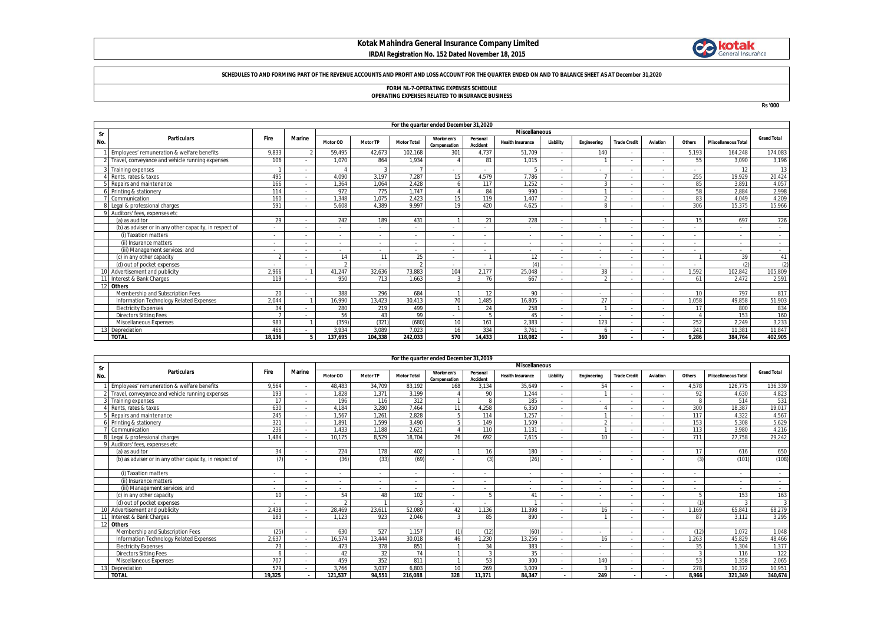## **Kotak Mahindra General Insurance Company Limited IRDAI Registration No. 152 Dated November 18, 2015**



#### **SCHEDULES TO AND FORMING PART OF THE REVENUE ACCOUNTS AND PROFIT AND LOSS ACCOUNT FOR THE QUARTER ENDED ON AND TO BALANCE SHEET AS AT December 31,2020**

# **FORM NL-7-OPERATING EXPENSES SCHEDULE OPERATING EXPENSES RELATED TO INSURANCE BUSINESS**

**Rs '000**

|     |                                                        |                          |               |            |                          |                    |                           |                          |                          |                          |                          |                          | For the quarter ended December 31,2020 |        |                            |                    |  |  |  |  |  |  |  |  |  |  |
|-----|--------------------------------------------------------|--------------------------|---------------|------------|--------------------------|--------------------|---------------------------|--------------------------|--------------------------|--------------------------|--------------------------|--------------------------|----------------------------------------|--------|----------------------------|--------------------|--|--|--|--|--|--|--|--|--|--|
| Sr  |                                                        |                          |               |            |                          |                    |                           |                          | <b>Miscellaneous</b>     |                          |                          |                          |                                        |        |                            | <b>Grand Total</b> |  |  |  |  |  |  |  |  |  |  |
| No. | <b>Particulars</b>                                     | Fire                     | <b>Marine</b> | Motor OD   | <b>Motor TP</b>          | <b>Motor Total</b> | Workmen's<br>Compensation | Personal<br>Accident     | <b>Health Insurance</b>  | Liability                | Engineering              | <b>Trade Credit</b>      | Aviation                               | Others | <b>Miscellaneous Total</b> |                    |  |  |  |  |  |  |  |  |  |  |
|     | Employees' remuneration & welfare benefits             | 9,833                    |               | 59,495     | 42.673                   | 102,168            | 301                       | 4,737                    | 51.709                   | $\overline{\phantom{a}}$ | 140                      |                          |                                        | 5.193  | 164.248                    | 174,083            |  |  |  |  |  |  |  |  |  |  |
|     | Travel, conveyance and vehicle running expenses        | 106                      |               | 1.070      | 864                      | 1,934              |                           | 81                       | 1.015                    | $\overline{\phantom{a}}$ |                          |                          |                                        | 55     | 3.090                      | 3,196              |  |  |  |  |  |  |  |  |  |  |
|     | Training expenses                                      |                          |               |            | 3                        |                    |                           | $\sim$                   |                          | $\sim$                   | $\overline{\phantom{a}}$ | $\overline{\phantom{a}}$ | $\sim$                                 |        | 12                         | 13                 |  |  |  |  |  |  |  |  |  |  |
|     | Rents, rates & taxes                                   | 495                      |               | 4,090      | 3.197                    | 7,287              | 15                        | 4.579                    | 7.786                    | $\overline{\phantom{a}}$ |                          |                          | $\sim$                                 | 255    | 19,929                     | 20,424             |  |  |  |  |  |  |  |  |  |  |
|     | Repairs and maintenance                                | 166                      |               | 1.364      | 1.064                    | 2.428              |                           | 117                      | 1.252                    | ٠                        | $\sim$                   |                          |                                        | 85     | 3.891                      | 4,057              |  |  |  |  |  |  |  |  |  |  |
|     | Printing & stationery                                  | 114                      |               | 972        | 775                      | 1.747              |                           | 84                       | 990                      | ٠                        |                          |                          |                                        | 58     | 2.884                      | 2,998              |  |  |  |  |  |  |  |  |  |  |
|     | Communication                                          | 160                      |               | 1.348      | 1.075                    | 2.423              | 15                        | 119                      | 1.407                    | ٠                        | $\sim$                   |                          |                                        | 83     | 4.049                      | 4.209              |  |  |  |  |  |  |  |  |  |  |
|     | Legal & professional charges                           | 591                      |               | 5,608      | 4.389                    | 9,997              | 19                        | 420                      | 4.625                    | $\overline{\phantom{a}}$ | $\Omega$                 |                          |                                        | 306    | 15,375                     | 15,966             |  |  |  |  |  |  |  |  |  |  |
|     | Auditors' fees, expenses etc.                          |                          |               |            |                          |                    |                           |                          |                          |                          |                          |                          |                                        |        |                            |                    |  |  |  |  |  |  |  |  |  |  |
|     | (a) as auditor                                         | 29                       |               | 242        | 189                      | 431                |                           | 21                       | 228                      | ٠                        |                          | $\overline{\phantom{a}}$ | $\sim$                                 | 15     | 697                        | 726                |  |  |  |  |  |  |  |  |  |  |
|     | (b) as adviser or in any other capacity, in respect of |                          |               |            |                          |                    |                           | ۰.                       |                          | $\overline{\phantom{a}}$ |                          |                          |                                        |        |                            |                    |  |  |  |  |  |  |  |  |  |  |
|     | (i) Taxation matters                                   | $\overline{\phantom{a}}$ |               |            | $\overline{\phantom{0}}$ |                    |                           | $\overline{\phantom{0}}$ |                          | ٠                        | $\overline{\phantom{a}}$ | $\overline{a}$           | $\sim$                                 |        |                            | $\sim$             |  |  |  |  |  |  |  |  |  |  |
|     | (ii) Insurance matters                                 |                          |               |            | $\sim$                   |                    |                           | $\sim$                   | $\overline{\phantom{a}}$ | $\overline{\phantom{a}}$ | $\overline{\phantom{a}}$ | $\overline{\phantom{a}}$ | $\sim$                                 |        | $\overline{\phantom{a}}$   | $\sim$             |  |  |  |  |  |  |  |  |  |  |
|     | (iii) Management services: and                         |                          |               |            |                          |                    |                           |                          |                          | $\overline{\phantom{a}}$ |                          |                          | $\sim$                                 |        |                            |                    |  |  |  |  |  |  |  |  |  |  |
|     | (c) in any other capacity                              | $\gamma$                 |               | 14         | 11                       | 25                 |                           |                          | 12                       | ٠                        | $\overline{\phantom{a}}$ | $\overline{\phantom{a}}$ | $\sim$                                 |        | 39                         | 41                 |  |  |  |  |  |  |  |  |  |  |
|     | (d) out of pocket expenses                             |                          |               | $\sqrt{2}$ |                          |                    |                           |                          | (4)                      | ٠                        |                          |                          |                                        |        | (2)                        | (2)                |  |  |  |  |  |  |  |  |  |  |
|     | 10 Advertisement and publicity                         | 2.966                    |               | 41,247     | 32.636                   | 73,883             | 104                       | 2.177                    | 25.048                   | ٠                        | 38                       |                          |                                        | 1.592  | 102.842                    | 105,809            |  |  |  |  |  |  |  |  |  |  |
|     | Interest & Bank Charges                                | 119                      |               | 950        | 713                      | 1.663              |                           | 76                       | 667                      | $\overline{\phantom{a}}$ | $\Omega$                 |                          |                                        | 61     | 2.472                      | 2,591              |  |  |  |  |  |  |  |  |  |  |
|     | 12 Others                                              |                          |               |            |                          |                    |                           |                          |                          |                          |                          |                          |                                        |        |                            |                    |  |  |  |  |  |  |  |  |  |  |
|     | Membership and Subscription Fees                       | 20                       |               | 388        | 296                      | 684                |                           | 12                       | 90                       | $\overline{\phantom{a}}$ |                          | $\overline{\phantom{0}}$ | $\sim$                                 | 10     | 797                        | 817                |  |  |  |  |  |  |  |  |  |  |
|     | Information Technology Related Expenses                | 2.044                    |               | 16.990     | 13.423                   | 30,413             | 70                        | .485                     | 16.805                   | ٠                        | 27                       |                          |                                        | 1.058  | 49,858                     | 51,903             |  |  |  |  |  |  |  |  |  |  |
|     | <b>Electricity Expenses</b>                            | 34                       |               | 280        | 219                      | 499                |                           | 24                       | 258                      | $\overline{\phantom{a}}$ |                          | $\overline{\phantom{0}}$ | $\sim$                                 | 17     | 800                        | 834                |  |  |  |  |  |  |  |  |  |  |
|     | <b>Directors Sitting Fees</b>                          |                          |               | 56         | 43                       | 99                 |                           |                          | 45                       | $\overline{\phantom{a}}$ |                          | $\overline{\phantom{0}}$ | $\sim$                                 |        | 153                        | 160                |  |  |  |  |  |  |  |  |  |  |
|     | <b>Miscellaneous Expenses</b>                          | 983                      |               | (359)      | (321)                    | (680)              | 10                        | 161                      | 2.383                    | $\overline{\phantom{a}}$ | 123                      | $\overline{\phantom{0}}$ | $\sim$                                 | 252    | 2.249                      | 3,233              |  |  |  |  |  |  |  |  |  |  |
|     | Depreciation                                           | 466                      |               | 3.934      | 3.089                    | 7.023              | 16                        | 334                      | 3.761                    | ٠                        |                          | $\overline{\phantom{0}}$ |                                        | 241    | 11,381                     | 11,847             |  |  |  |  |  |  |  |  |  |  |
|     | <b>TOTAL</b>                                           | 18.136                   |               | 137.695    | 104.338                  | 242.033            | 570                       | 14.433                   | 118.082                  | $\overline{\phantom{a}}$ | 360                      |                          |                                        | 9.286  | 384.764                    | 402,905            |  |  |  |  |  |  |  |  |  |  |

|     |                                                        |                          |               |                          |                 |                    | For the quarter ended December 31,2019 |                      |                          |                          |                          |                     |                          |                          |                            |                          |
|-----|--------------------------------------------------------|--------------------------|---------------|--------------------------|-----------------|--------------------|----------------------------------------|----------------------|--------------------------|--------------------------|--------------------------|---------------------|--------------------------|--------------------------|----------------------------|--------------------------|
| Sr  |                                                        |                          |               | <b>Miscellaneous</b>     |                 |                    |                                        |                      |                          |                          |                          |                     |                          |                          |                            |                          |
| No. | <b>Particulars</b>                                     | Fire                     | <b>Marine</b> | Motor OD                 | <b>Motor TP</b> | <b>Motor Total</b> | Workmen's<br>Compensation              | Personal<br>Accident | <b>Health Insurance</b>  | Liability                | Engineering              | <b>Trade Credit</b> | Aviation                 | Others                   | <b>Miscellaneous Total</b> | <b>Grand Total</b>       |
|     | Employees' remuneration & welfare benefits             | 9,564                    |               | 48.483                   | 34.709          | 83.192             | 168                                    | 3.134                | 35.649                   | $\sim$                   | 54                       |                     | $\overline{\phantom{a}}$ | 4.578                    | 126.775                    | 136,339                  |
|     | 2 Travel, convevance and vehicle running expenses      | 193                      |               | 1.828                    | 1.371           | 3.199              |                                        | 90                   | 1.244                    |                          |                          |                     |                          | 92                       | 4.630                      | 4,823                    |
|     | Training expenses                                      | 17                       |               | 196                      | 116             | 312                |                                        | 8                    | 185                      | $\overline{\phantom{a}}$ | $\sim$                   |                     | $\sim$                   |                          | 514                        | 531                      |
|     | Rents, rates & taxes                                   | 630                      |               | 4.184                    | 3.280           | 7,464              | 11                                     | 1.258                | 6.350                    | $\sim$                   |                          |                     |                          | 300                      | 18.387                     | 19,017                   |
|     | Repairs and maintenance                                | 245                      |               | 1,567                    | 1,261           | 2,828              | 5                                      | 114                  | 1,257                    | $\sim$                   |                          |                     | $\overline{\phantom{a}}$ | 117                      | 4.322                      | 4,567                    |
|     | Printing & stationery                                  | 321                      |               | 1.891                    | 1.599           | 3.490              | 5                                      | 149                  | 1.509                    | $\overline{a}$           |                          |                     |                          | 153                      | 5.308                      | 5,629                    |
|     | Communication                                          | 236                      |               | 1.433                    | 1.188           | 2,621              |                                        | 110                  | 1.131                    |                          |                          |                     |                          | 113                      | 3.980                      | 4,216                    |
|     | Legal & professional charges                           | 1.484                    |               | 10.175                   | 8.529           | 18.704             | 26                                     | 692                  | 7.615                    |                          | 10                       |                     |                          | 711                      | 27.758                     | 29,242                   |
|     | Auditors' fees, expenses etc.                          |                          |               |                          |                 |                    |                                        |                      |                          |                          |                          |                     |                          |                          |                            |                          |
|     | (a) as auditor                                         | 34                       |               | 224                      | 178             | 402                |                                        | 16                   | 180                      | $\overline{\phantom{a}}$ | $\sim$                   |                     |                          | 17                       | 616                        | 650                      |
|     | (b) as adviser or in any other capacity, in respect of |                          |               | (36)                     | (33)            | (69)               |                                        | (3)                  | (26)                     |                          |                          |                     |                          | (3)                      | (101)                      | (108)                    |
|     | (i) Taxation matters                                   | $\overline{\phantom{a}}$ |               | $\overline{\phantom{a}}$ |                 | $\sim$             | $\sim$                                 |                      | $\overline{\phantom{a}}$ |                          | $\sim$                   |                     |                          | $\sim$                   | $\overline{\phantom{a}}$   | $\sim$                   |
|     | (ii) Insurance matters                                 | $\overline{\phantom{a}}$ |               | ٠                        |                 | ٠                  | $\sim$                                 |                      |                          |                          | $\overline{\phantom{a}}$ |                     |                          | $\overline{\phantom{a}}$ | $\sim$                     | $\overline{\phantom{a}}$ |
|     | (iii) Management services: and                         |                          |               | $\overline{\phantom{a}}$ |                 | $\sim$             | $\sim$                                 |                      |                          |                          | $\sim$                   |                     |                          |                          | $\sim$                     | $\sim$                   |
|     | (c) in any other capacity                              | 10                       |               | 54                       | 48              | 102                | $\overline{\phantom{a}}$               |                      | $\mathbf{A}^*$           | $\overline{\phantom{a}}$ | $\sim$                   |                     |                          |                          | 153                        | 163                      |
|     | (d) out of pocket expenses                             | $\overline{\phantom{a}}$ |               |                          |                 |                    | $\sim$                                 |                      |                          | $\overline{\phantom{a}}$ | $\sim$                   |                     |                          | (1)                      |                            |                          |
|     | 10 Advertisement and publicity                         | 2.438                    |               | 28.469                   | 23.611          | 52.080             | 42                                     | .136                 | 11.398                   | $\sim$                   | 16                       |                     |                          | 1.169                    | 65.841                     | 68,279                   |
|     | 11 Interest & Bank Charges                             | 183                      |               | 1.123                    | 923             | 2.046              | $\mathbf{3}$                           | 85                   | 890                      | $\sim$                   |                          |                     | $\overline{\phantom{a}}$ | 87                       | 3.112                      | 3,295                    |
| 12  | <b>Others</b>                                          |                          |               |                          |                 |                    |                                        |                      |                          |                          |                          |                     |                          |                          |                            |                          |
|     | Membership and Subscription Fees                       | (25)                     |               | 630                      | 527             | 1.157              | (1)                                    | (12)                 | (60)                     |                          | $\overline{\phantom{a}}$ |                     |                          | (12)                     | 1.072                      | 1,048                    |
|     | Information Technology Related Expenses                | 2,637                    |               | 16,574                   | 13.444          | 30.018             | 46                                     | .230                 | 13,256                   | $\overline{\phantom{a}}$ | 16                       |                     |                          | 1.263                    | 45.829                     | 48,466                   |
|     | <b>Electricity Expenses</b>                            | 73                       |               | 473                      | 378             | 851                |                                        | 34                   | 383                      | $\overline{\phantom{a}}$ | $\sim$                   |                     |                          | 35                       | 1.304                      | 1,377                    |
|     | <b>Directors Sitting Fees</b>                          |                          |               | 42                       | 32              | 74                 |                                        | 3                    | 35                       | $\sim$                   | $\sim$                   |                     |                          |                          | 116                        | 122                      |
|     | Miscellaneous Expenses                                 | 707                      |               | 459                      | 352             | 811                | $\mathbf{1}$                           | 53                   | 300                      |                          | 140                      |                     |                          | 53                       | 1.358                      | 2,065                    |
|     | 13 Depreciation                                        | 579                      |               | 3.766                    | 3.037           | 6,803              | 10                                     | 269                  | 3.009                    |                          |                          |                     |                          | 278                      | 10.372                     | 10,951                   |
|     | <b>TOTAL</b>                                           | 19.325                   |               | 121.537                  | 94.551          | 216.088            | 328                                    | 11.371               | 84.347                   | ×.                       | 249                      | $\blacksquare$      |                          | 8.966                    | 321.349                    | 340.674                  |